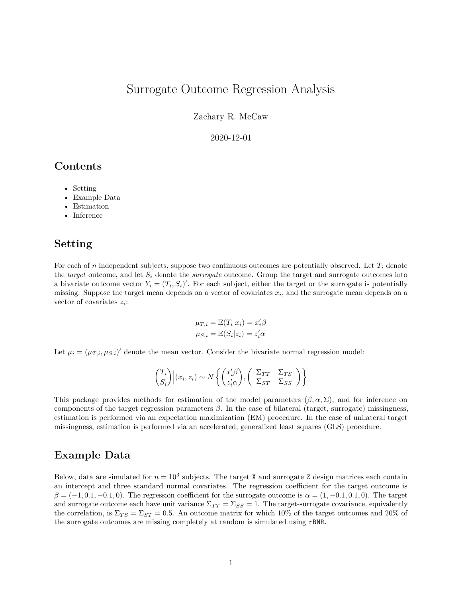# Surrogate Outcome Regression Analysis

Zachary R. McCaw

2020-12-01

### **Contents**

- Setting
- Example Data
- **Estimation**
- Inference

#### **Setting**

For each of *n* independent subjects, suppose two continuous outcomes are potentially observed. Let *T<sup>i</sup>* denote the *target* outcome, and let  $S_i$  denote the *surrogate* outcome. Group the target and surrogate outcomes into a bivariate outcome vector  $Y_i = (T_i, S_i)'$ . For each subject, either the target or the surrogate is potentially missing. Suppose the target mean depends on a vector of covariates *x<sup>i</sup>* , and the surrogate mean depends on a vector of covariates *z<sup>i</sup>* :

$$
\mu_{T,i} = \mathbb{E}(T_i|x_i) = x_i'\beta
$$
  

$$
\mu_{S,i} = \mathbb{E}(S_i|z_i) = z_i'\alpha
$$

Let  $\mu_i = (\mu_{T,i}, \mu_{S,i})'$  denote the mean vector. Consider the bivariate normal regression model:

$$
\begin{pmatrix} T_i \\ S_i \end{pmatrix} \Big| (x_i, z_i) \sim N \left\{ \begin{pmatrix} x'_i \beta \\ z'_i \alpha \end{pmatrix}, \begin{pmatrix} \Sigma_{TT} & \Sigma_{TS} \\ \Sigma_{ST} & \Sigma_{SS} \end{pmatrix} \right\}
$$

This package provides methods for estimation of the model parameters  $(\beta, \alpha, \Sigma)$ , and for inference on components of the target regression parameters *β*. In the case of bilateral (target, surrogate) missingness, estimation is performed via an expectation maximization (EM) procedure. In the case of unilateral target missingness, estimation is performed via an accelerated, generalized least squares (GLS) procedure.

### **Example Data**

Below, data are simulated for  $n = 10<sup>3</sup>$  subjects. The target X and surrogate Z design matrices each contain an intercept and three standard normal covariates. The regression coefficient for the target outcome is  $\beta = (-1, 0.1, -0.1, 0)$ . The regression coefficient for the surrogate outcome is  $\alpha = (1, -0.1, 0.1, 0)$ . The target and surrogate outcome each have unit variance  $\Sigma_{TT} = \Sigma_{SS} = 1$ . The target-surrogate covariance, equivalently the correlation, is  $\Sigma_{TS} = \Sigma_{ST} = 0.5$ . An outcome matrix for which 10% of the target outcomes and 20% of the surrogate outcomes are missing completely at random is simulated using rBNR.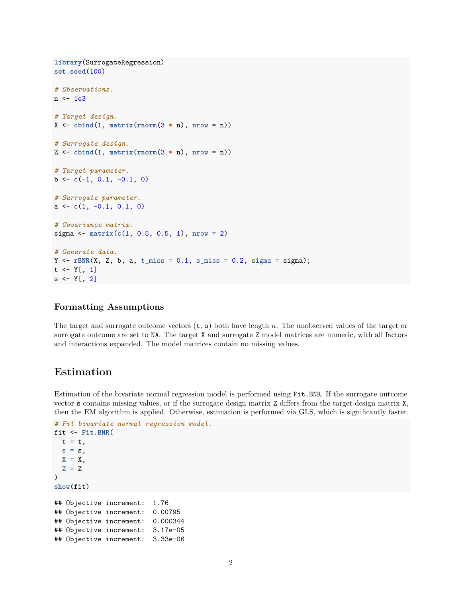```
library(SurrogateRegression)
set.seed(100)
# Observations.
n < -1e3# Target design.
X \leftarrow \text{cbind}(1, \text{ matrix}(\text{rnorm}(3 * n), \text{ nrow} = n))# Surrogate design.
Z <- cbind(1, matrix(rnorm(3 * n), nrow = n))
# Target parameter.
b <- c(-1, 0.1, -0.1, 0)
# Surrogate parameter.
a <- c(1, -0.1, 0.1, 0)
# Covariance matrix.
sigma \leq matrix(c(1, 0.5, 0.5, 1), nrow = 2)
# Generate data.
Y \leftarrow rBNR(X, Z, b, a, t_{miss} = 0.1, s_{miss} = 0.2, sigma = sigma);t \leftarrow Y[, 1]s \leftarrow Y[, 2]
```
#### **Formatting Assumptions**

The target and surrogate outcome vectors (t, s) both have length *n*. The unobserved values of the target or surrogate outcome are set to NA. The target X and surrogate Z model matrices are numeric, with all factors and interactions expanded. The model matrices contain no missing values.

### **Estimation**

Estimation of the bivariate normal regression model is performed using Fit.BNR. If the surrogate outcome vector s contains missing values, or if the surrogate design matrix Z differs from the target design matrix X, then the EM algorithm is applied. Otherwise, estimation is performed via GLS, which is significantly faster.

```
# Fit bivariate normal regression model.
fit <- Fit.BNR(
 t = t,
 s = s,
 X = X,
 Z = Z)
show(fit)
## Objective increment: 1.76
## Objective increment: 0.00795
## Objective increment: 0.000344
## Objective increment: 3.17e-05
## Objective increment: 3.33e-06
```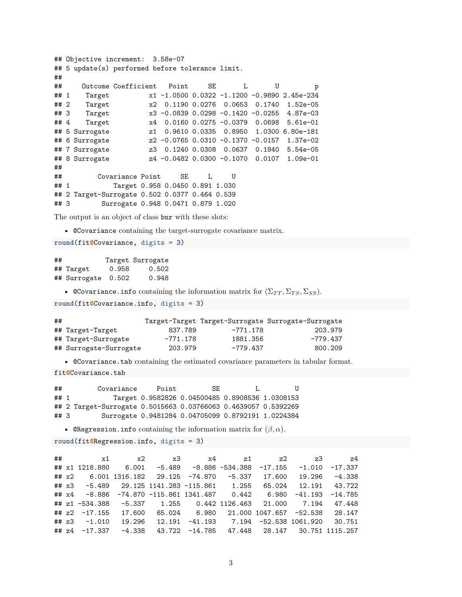```
## Objective increment: 3.58e-07
## 5 update(s) performed before tolerance limit.
##
## Outcome Coefficient Point SE L U p
## 1 Target x1 -1.0500 0.0322 -1.1200 -0.9890 2.45e-234
## 2 Target x2 0.1190 0.0276 0.0653 0.1740 1.52e-05
## 3 Target x3 -0.0839 0.0298 -0.1420 -0.0255 4.87e-03
## 4 Target x4 0.0160 0.0275 -0.0379 0.0698 5.61e-01
## 5 Surrogate z1 0.9610 0.0335 0.8950 1.0300 6.80e-181
## 6 Surrogate z2 -0.0765 0.0310 -0.1370 -0.0157 1.37e-02
## 7 Surrogate z3 0.1240 0.0308 0.0637 0.1840 5.54e-05
## 8 Surrogate z4 -0.0482 0.0300 -0.1070 0.0107 1.09e-01
##
## Covariance Point SE L U
## 1 Target 0.958 0.0450 0.891 1.030
## 2 Target-Surrogate 0.502 0.0377 0.464 0.539
## 3 Surrogate 0.948 0.0471 0.879 1.020
```
The output is an object of class bnr with these slots:

• @Covariance containing the target-surrogate covariance matrix.

**round**(fit**@**Covariance, digits = 3)

## Target Surrogate ## Target 0.958 0.502 ## Surrogate 0.502 0.948

• ©Covariance.info containing the information matrix for  $(\Sigma_{TT}, \Sigma_{TS}, \Sigma_{SS})$ .

**round**(fit**@**Covariance.info, digits = 3)

| ## |                        |          |          | Target-Target Target-Surrogate Surrogate-Surrogate |
|----|------------------------|----------|----------|----------------------------------------------------|
|    | ## Target-Target       | 837.789  | -771.178 | 203.979                                            |
|    | ## Target-Surrogate    | -771.178 | 1881.356 | -779.437                                           |
|    | ## Surrogate-Surrogate | 203.979  | -779.437 | 800.209                                            |

• @Covariance.tab containing the estimated covariance parameters in tabular format.

fit**@**Covariance.tab

## Covariance Point SE L U ## 1 Target 0.9582826 0.04500485 0.8908536 1.0308153 ## 2 Target-Surrogate 0.5015663 0.03766063 0.4639057 0.5392269 ## 3 Surrogate 0.9481284 0.04705099 0.8792191 1.0224384

• **@Regression.info** containing the information matrix for  $(\beta, \alpha)$ .

**round**(fit**@**Regression.info, digits = 3)

## x1 x2 x3 x4 z1 z2 z3 z4 ## x1 1218.880 6.001 -5.489 -8.886 -534.388 -17.155 -1.010 -17.337 ## x2 6.001 1316.182 29.125 -74.870 -5.337 17.600 19.296 -4.338 ## x3 -5.489 29.125 1141.283 -115.861 1.255 65.024 12.191 43.722 ## x4 -8.886 -74.870 -115.861 1341.487 0.442 6.980 -41.193 -14.785 ## z1 -534.388 -5.337 1.255 0.442 1126.463 21.000 7.194 47.448 ## z2 -17.155 17.600 65.024 6.980 21.000 1047.657 -52.538 28.147 ## z3 -1.010 19.296 12.191 -41.193 7.194 -52.538 1061.920 30.751 ## z4 -17.337 -4.338 43.722 -14.785 47.448 28.147 30.751 1115.257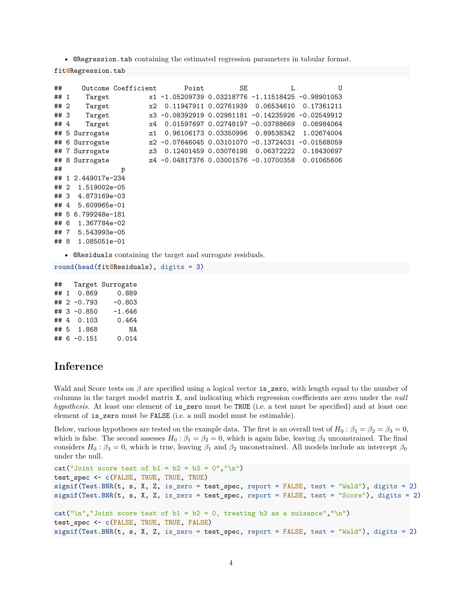• @Regression.tab containing the estimated regression parameters in tabular format.

fit**@**Regression.tab

| ##   |    |                | Outcome Coefficient | Point                     | SE                      |                                                   | U             |
|------|----|----------------|---------------------|---------------------------|-------------------------|---------------------------------------------------|---------------|
| ## 1 |    | Target         |                     |                           |                         | x1 -1.05209739 0.03218776 -1.11518425 -0.98901053 |               |
| ##2  |    | Target         | х2                  |                           | 0.11947911 0.02761939   | 0.06534610                                        | 0.17361211    |
| ## 3 |    | Target         |                     | x3 -0.08392919 0.02981181 |                         | $-0.14235926$                                     | $-0.02549912$ |
| ##4  |    | Target         | x4                  |                           |                         | 0.01597697 0.02748197 -0.03788669                 | 0.06984064    |
| ##   | 5  | Surrogate      | z1                  |                           | 0.96106173 0.03350996   | 0.89538342                                        | 1.02674004    |
| ##   |    | 6 Surrogate    |                     |                           |                         | z2 -0.07646045 0.03101070 -0.13724031             | $-0.01568059$ |
|      |    | ## 7 Surrogate | z3                  |                           | 0.12401459   0.03076198 | 0.06372222                                        | 0.18430697    |
| ##   |    | 8 Surrogate    |                     |                           |                         | z4 -0.04817376 0.03001576 -0.10700358             | 0.01065606    |
| ##   |    |                | p                   |                           |                         |                                                   |               |
| ##   | 1  | 2.449017e-234  |                     |                           |                         |                                                   |               |
| ##   | -2 | 1.519002e-05   |                     |                           |                         |                                                   |               |
| ## 3 |    | 4.873169e-03   |                     |                           |                         |                                                   |               |
| ##   | 4  | 5.609965e-01   |                     |                           |                         |                                                   |               |
| ##   | -5 | 6.799248e-181  |                     |                           |                         |                                                   |               |
| ##   | -6 | 1.367784e-02   |                     |                           |                         |                                                   |               |
| ##7  |    | 5.543993e-05   |                     |                           |                         |                                                   |               |
| ## 8 |    | 1.085051e-01   |                     |                           |                         |                                                   |               |

• @Residuals containing the target and surrogate residuals.

```
round(head(fit@Residuals), digits = 3)
```

| ## |               | Target Surrogate |
|----|---------------|------------------|
|    | ## 1 0.869    | 0.889            |
|    | ## 2 $-0.793$ | $-0.803$         |
|    | ## $3 -0.850$ | $-1.646$         |
|    | ## 4 0.103    | 0.464            |
|    | ## 5 1.868    | NA               |
|    | ## 6 -0.151   | 0.014            |

## **Inference**

Wald and Score tests on  $\beta$  are specified using a logical vector is\_zero, with length equal to the number of columns in the target model matrix X, and indicating which regression coefficients are zero under the *null hypothesis*. At least one element of is\_zero must be TRUE (i.e. a test must be specified) and at least one element of is\_zero must be FALSE (i.e. a null model must be estimable).

Below, various hypotheses are tested on the example data. The first is an overall test of  $H_0: \beta_1 = \beta_2 = \beta_3 = 0$ , which is false. The second assesses  $H_0: \beta_1 = \beta_2 = 0$ , which is again false, leaving  $\beta_3$  unconstrained. The final considers  $H_0: \beta_3 = 0$ , which is true, leaving  $\beta_1$  and  $\beta_2$  unconstrained. All models include an intercept  $\beta_0$ under the null.

```
cat("Joint score test of b1 = b2 = b3 = 0", "\n")test_spec <- c(FALSE, TRUE, TRUE, TRUE)
signif(Test.BNR(t, s, X, Z, is_{zero} = test_{spec}, report = FALSE, test = "Wald"), digits = 2)signif(Test.BNR(t, s, X, Z, is_zero = test_spec, report = FALSE, test = "Score"), digits = 2)
cat("\n'\n'', "Joint score test of b1 = b2 = 0, treating b3 as a nuisance", "\n")
test_spec <- c(FALSE, TRUE, TRUE, FALSE)
signif(Test.BNR(t, s, X, Z, is_zero = test_spec, report = FALSE, test = "Wald"), digits = 2)
```